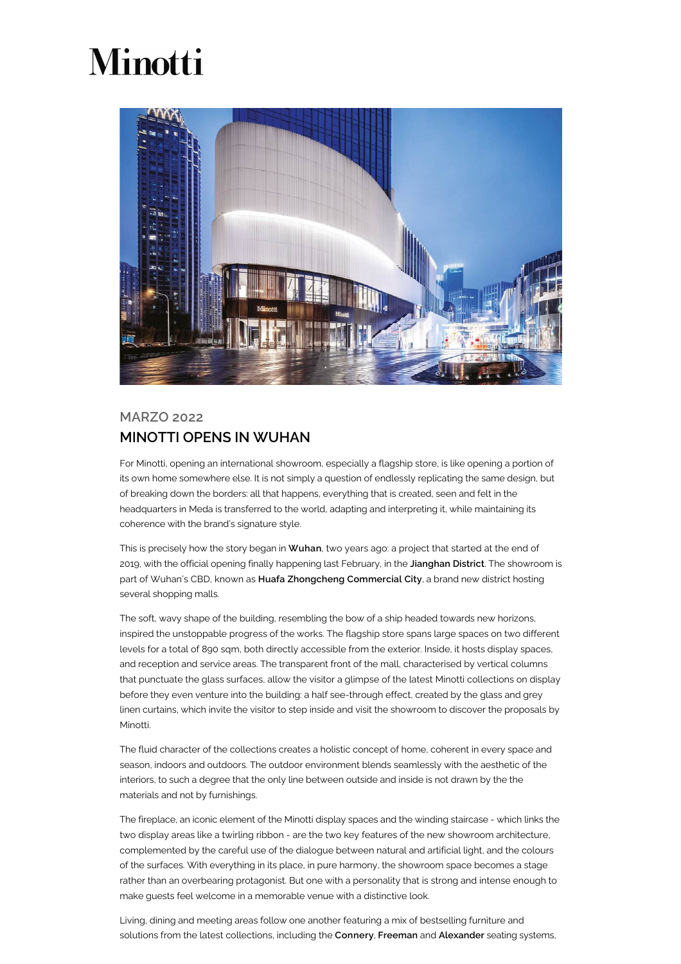## Minotti



## MARZO 2022 MINOTTI OPENS IN WUHAN

For Minotti, opening an international showroom, especially a flagship store, is like opening a portion of its own home somewhere else. It is not simply a question of endlessly replicating the same design, but of breaking down the borders: all that happens, everything that is created, seen and felt in the headquarters in Meda is transferred to the world, adapting and interpreting it, while maintaining its coherence with the brand's signature style.

This is precisely how the story began in Wuhan, two years ago: a project that started at the end of 2019, with the official opening finally happening last February, in the Jianghan District. The showroom is part of Wuhan's CBD, known as Huafa Zhongcheng Commercial City, a brand new district hosting several shopping malls.

The soft, wavy shape of the building, resembling the bow of a ship headed towards new horizons, inspired the unstoppable progress of the works. The flagship store spans large spaces on two different levels for a total of 890 sqm, both directly accessible from the exterior. Inside, it hosts display spaces, and reception and service areas. The transparent front of the mall, characterised by vertical columns that punctuate the glass surfaces, allow the visitor a glimpse of the latest Minotti collections on display before they even venture into the building: a half see-through effect, created by the glass and grey linen curtains, which invite the visitor to step inside and visit the showroom to discover the proposals by Minotti.

The fluid character of the collections creates a holistic concept of home, coherent in every space and season, indoors and outdoors. The outdoor environment blends seamlessly with the aesthetic of the interiors, to such a degree that the only line between outside and inside is not drawn by the the materials and not by furnishings.

The fireplace, an iconic element of the Minotti display spaces and the winding staircase - which links the two display areas like a twirling ribbon - are the two key features of the new showroom architecture, complemented by the careful use of the dialogue between natural and artificial light, and the colours of the surfaces. With everything in its place, in pure harmony, the showroom space becomes a stage rather than an overbearing protagonist. But one with a personality that is strong and intense enough to make guests feel welcome in a memorable venue with a distinctive look.

Living, dining and meeting areas follow one another featuring a mix of bestselling furniture and solutions from the latest collections, including the Connery, Freeman and Alexander seating systems,